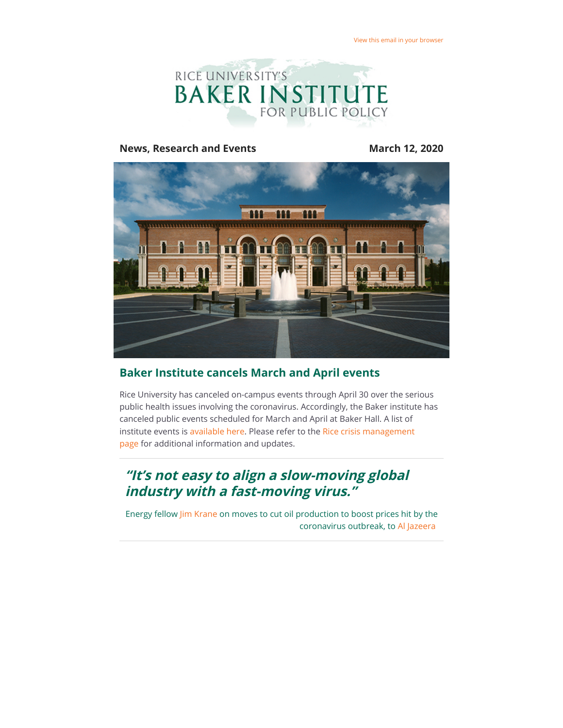

#### **News, Research and Events March 12, 2020**



## **Baker Institute cancels March and April events**

Rice University has canceled on-campus events through April 30 over the serious public health issues involving the coronavirus. Accordingly, the Baker institute has canceled public events scheduled for March and April at Baker Hall. A list of [institute events is a](https://riceconnect.rice.edu/page.redir?target=http%3a%2f%2femergency.rice.edu%2f&srcid=129366&srctid=1&erid=944e15b5-9d64-443c-9333-b3d6b3e0468f&trid=944e15b5-9d64-443c-9333-b3d6b3e0468f)[vailable here](https://riceconnect.rice.edu/page.redir?target=http%3a%2f%2fwww.bakerinstitute.org%2fevents%2fsearch%2f&srcid=129366&srctid=1&erid=944e15b5-9d64-443c-9333-b3d6b3e0468f&trid=944e15b5-9d64-443c-9333-b3d6b3e0468f)[. Please refer to the Rice crisis management](https://riceconnect.rice.edu/page.redir?target=http%3a%2f%2femergency.rice.edu%2f&srcid=129366&srctid=1&erid=944e15b5-9d64-443c-9333-b3d6b3e0468f&trid=944e15b5-9d64-443c-9333-b3d6b3e0468f) page for additional information and updates.

# **"It's not easy to align a slow-moving global industry with a fast-moving virus."**

Energy fellow [Jim Krane](https://riceconnect.rice.edu/page.redir?target=http%3a%2f%2fwww.bakerinstitute.org%2fexperts%2fjim-krane%2f&srcid=129366&srctid=1&erid=944e15b5-9d64-443c-9333-b3d6b3e0468f&trid=944e15b5-9d64-443c-9333-b3d6b3e0468f) on moves to cut oil production to boost prices hit by the coronavirus outbreak, to [Al Jazeera](https://riceconnect.rice.edu/page.redir?target=http%3a%2f%2fwww.aljazeera.com%2fajimpact%2fopec-meeting-russia-cagey-oil-cuts-200302141913065.html&srcid=129366&srctid=1&erid=944e15b5-9d64-443c-9333-b3d6b3e0468f&trid=944e15b5-9d64-443c-9333-b3d6b3e0468f)